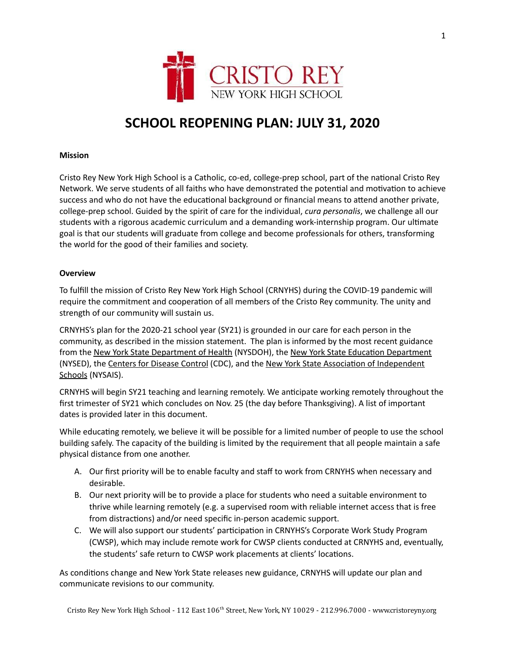

# **SCHOOL REOPENING PLAN: JULY 31, 2020**

# **Mission**

Cristo Rey New York High School is a Catholic, co-ed, college-prep school, part of the national Cristo Rey Network. We serve students of all faiths who have demonstrated the potential and motivation to achieve success and who do not have the educational background or financial means to attend another private, college-prep school. Guided by the spirit of care for the individual, *cura personalis*, we challenge all our students with a rigorous academic curriculum and a demanding work-internship program. Our ultimate goal is that our students will graduate from college and become professionals for others, transforming the world for the good of their families and society.

# **Overview**

To fulfill the mission of Cristo Rey New York High School (CRNYHS) during the COVID-19 pandemic will require the commitment and cooperation of all members of the Cristo Rey community. The unity and strength of our community will sustain us.

CRNYHS's plan for the 2020-21 school year (SY21) is grounded in our care for each person in the community, as described in the mission statement. The plan is informed by the most recent guidance from the New York State [Department](http://www.p12.nysed.gov/nonpub/documents/reopening-guidance-religious-and-independent-schools.pdf) of Health (NYSDOH), the New York State Education Department (NYSED), the Centers for [Disease](https://www.cdc.gov/coronavirus/2019-ncov/community/schools-childcare/index.html) Control (CDC), and the New York State Association [of Independent](https://www.nysais.org/) [Schools](https://www.nysais.org/) (NYSAIS).

CRNYHS will begin SY21 teaching and learning remotely. We anticipate working remotely throughout the first trimester of SY21 which concludes on Nov. 25 (the day before Thanksgiving). A list of important dates is provided later in this document.

While educating remotely, we believe it will be possible for a limited number of people to use the school building safely. The capacity of the building is limited by the requirement that all people maintain a safe physical distance from one another.

- A. Our first priority will be to enable faculty and staff to work from CRNYHS when necessary and desirable.
- B. Our next priority will be to provide a place for students who need a suitable environment to thrive while learning remotely (e.g. a supervised room with reliable internet access that is free from distractions) and/or need specific in-person academic support.
- C. We will also support our students' participation in CRNYHS's Corporate Work Study Program (CWSP), which may include remote work for CWSP clients conducted at CRNYHS and, eventually, the students' safe return to CWSP work placements at clients' locations.

As conditions change and New York State releases new guidance, CRNYHS will update our plan and communicate revisions to our community.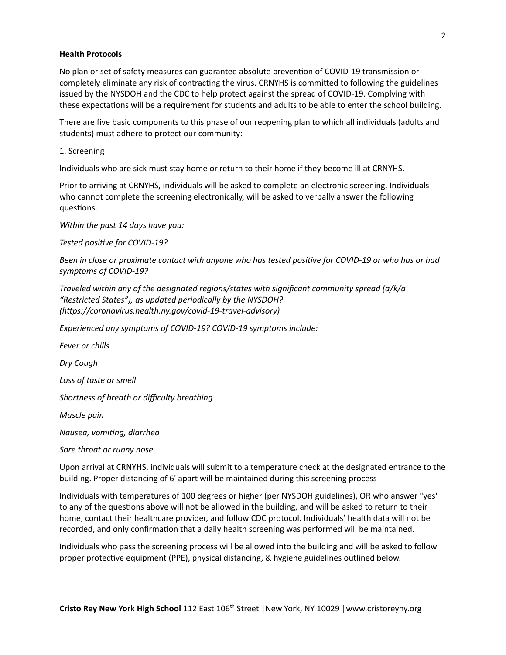## **Health Protocols**

No plan or set of safety measures can guarantee absolute prevention of COVID-19 transmission or completely eliminate any risk of contracting the virus. CRNYHS is committed to following the guidelines issued by the NYSDOH and the CDC to help protect against the spread of COVID-19. Complying with these expectations will be a requirement for students and adults to be able to enter the school building.

There are five basic components to this phase of our reopening plan to which all individuals (adults and students) must adhere to protect our community:

#### 1. Screening

Individuals who are sick must stay home or return to their home if they become ill at CRNYHS.

Prior to arriving at CRNYHS, individuals will be asked to complete an electronic screening. Individuals who cannot complete the screening electronically, will be asked to verbally answer the following questions.

*Within the past 14 days have you:*

*Tested positive for COVID-19?* 

Been in close or proximate contact with anyone who has tested positive for COVID-19 or who has or had *symptoms of COVID-19?*

*Traveled within any of the designated regions/states with significant community spread (a/k/a "Restricted States"), as updated periodically by the NYSDOH? (https://coronavirus.health.ny.gov/covid-19-travel-advisory)* 

*Experienced any symptoms of COVID-19? COVID-19 symptoms include:*

*Fever or chills*

*Dry Cough*

*Loss of taste or smell*

*Shortness of breath or difficulty breathing*

*Muscle pain*

*Nausea, voming, diarrhea*

*Sore throat or runny nose*

Upon arrival at CRNYHS, individuals will submit to a temperature check at the designated entrance to the building. Proper distancing of 6' apart will be maintained during this screening process

Individuals with temperatures of 100 degrees or higher (per NYSDOH guidelines), OR who answer "yes" to any of the questions above will not be allowed in the building, and will be asked to return to their home, contact their healthcare provider, and follow CDC protocol. Individuals' health data will not be recorded, and only confirmation that a daily health screening was performed will be maintained.

Individuals who pass the screening process will be allowed into the building and will be asked to follow proper protective equipment (PPE), physical distancing, & hygiene guidelines outlined below.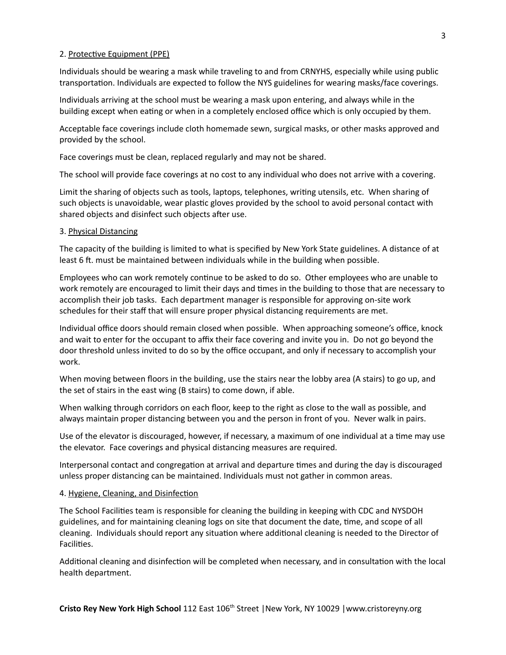#### 2. Protective Equipment (PPE)

Individuals should be wearing a mask while traveling to and from CRNYHS, especially while using public transportation. Individuals are expected to follow the NYS guidelines for wearing masks/face coverings.

Individuals arriving at the school must be wearing a mask upon entering, and always while in the building except when eating or when in a completely enclosed office which is only occupied by them.

Acceptable face coverings include cloth homemade sewn, surgical masks, or other masks approved and provided by the school.

Face coverings must be clean, replaced regularly and may not be shared.

The school will provide face coverings at no cost to any individual who does not arrive with a covering.

Limit the sharing of objects such as tools, laptops, telephones, writing utensils, etc. When sharing of such objects is unavoidable, wear plastic gloves provided by the school to avoid personal contact with shared objects and disinfect such objects after use.

### 3. Physical Distancing

The capacity of the building is limited to what is specified by New York State guidelines. A distance of at least 6 ft. must be maintained between individuals while in the building when possible.

Employees who can work remotely continue to be asked to do so. Other employees who are unable to work remotely are encouraged to limit their days and times in the building to those that are necessary to accomplish their job tasks. Each department manager is responsible for approving on-site work schedules for their staff that will ensure proper physical distancing requirements are met.

Individual office doors should remain closed when possible. When approaching someone's office, knock and wait to enter for the occupant to affix their face covering and invite you in. Do not go beyond the door threshold unless invited to do so by the office occupant, and only if necessary to accomplish your work.

When moving between floors in the building, use the stairs near the lobby area (A stairs) to go up, and the set of stairs in the east wing (B stairs) to come down, if able.

When walking through corridors on each floor, keep to the right as close to the wall as possible, and always maintain proper distancing between you and the person in front of you. Never walk in pairs.

Use of the elevator is discouraged, however, if necessary, a maximum of one individual at a time may use the elevator. Face coverings and physical distancing measures are required.

Interpersonal contact and congregation at arrival and departure times and during the day is discouraged unless proper distancing can be maintained. Individuals must not gather in common areas.

#### 4. Hygiene, Cleaning, and Disinfection

The School Facilies team is responsible for cleaning the building in keeping with CDC and NYSDOH guidelines, and for maintaining cleaning logs on site that document the date, time, and scope of all cleaning. Individuals should report any situation where additional cleaning is needed to the Director of Facilities.

Additional cleaning and disinfection will be completed when necessary, and in consultation with the local health department.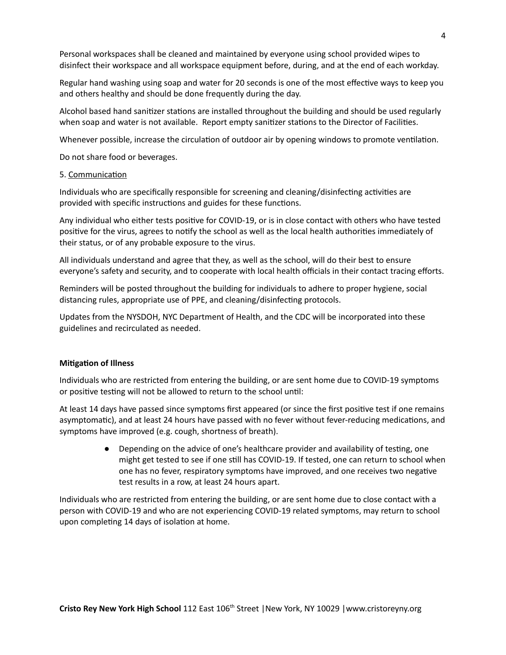Personal workspaces shall be cleaned and maintained by everyone using school provided wipes to disinfect their workspace and all workspace equipment before, during, and at the end of each workday.

Regular hand washing using soap and water for 20 seconds is one of the most effective ways to keep you and others healthy and should be done frequently during the day.

Alcohol based hand sanitizer stations are installed throughout the building and should be used regularly when soap and water is not available. Report empty sanitizer stations to the Director of Facilities.

Whenever possible, increase the circulation of outdoor air by opening windows to promote ventilation.

Do not share food or beverages.

#### 5. Communication

Individuals who are specifically responsible for screening and cleaning/disinfecting activities are provided with specific instructions and guides for these functions.

Any individual who either tests positive for COVID-19, or is in close contact with others who have tested positive for the virus, agrees to notify the school as well as the local health authorities immediately of their status, or of any probable exposure to the virus.

All individuals understand and agree that they, as well as the school, will do their best to ensure everyone's safety and security, and to cooperate with local health officials in their contact tracing efforts.

Reminders will be posted throughout the building for individuals to adhere to proper hygiene, social distancing rules, appropriate use of PPE, and cleaning/disinfecting protocols.

Updates from the NYSDOH, NYC Department of Health, and the CDC will be incorporated into these guidelines and recirculated as needed.

### **Mitigation of Illness**

Individuals who are restricted from entering the building, or are sent home due to COVID-19 symptoms or positive testing will not be allowed to return to the school until:

At least 14 days have passed since symptoms first appeared (or since the first positive test if one remains asymptomatic), and at least 24 hours have passed with no fever without fever-reducing medications, and symptoms have improved (e.g. cough, shortness of breath).

> • Depending on the advice of one's healthcare provider and availability of testing, one might get tested to see if one still has COVID-19. If tested, one can return to school when one has no fever, respiratory symptoms have improved, and one receives two negative test results in a row, at least 24 hours apart.

Individuals who are restricted from entering the building, or are sent home due to close contact with a person with COVID-19 and who are not experiencing COVID-19 related symptoms, may return to school upon completing 14 days of isolation at home.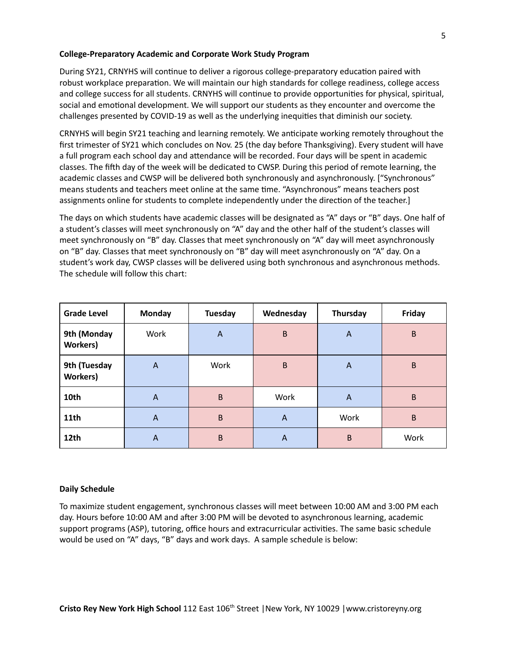# **College-Preparatory Academic and Corporate Work Study Program**

During SY21, CRNYHS will continue to deliver a rigorous college-preparatory education paired with robust workplace preparation. We will maintain our high standards for college readiness, college access and college success for all students. CRNYHS will continue to provide opportunities for physical, spiritual, social and emotional development. We will support our students as they encounter and overcome the challenges presented by COVID-19 as well as the underlying inequities that diminish our society.

CRNYHS will begin SY21 teaching and learning remotely. We anticipate working remotely throughout the first trimester of SY21 which concludes on Nov. 25 (the day before Thanksgiving). Every student will have a full program each school day and attendance will be recorded. Four days will be spent in academic classes. The fih day of the week will be dedicated to CWSP. During this period of remote learning, the academic classes and CWSP will be delivered both synchronously and asynchronously. ["Synchronous" means students and teachers meet online at the same time. "Asynchronous" means teachers post assignments online for students to complete independently under the direction of the teacher.]

The days on which students have academic classes will be designated as "A" days or "B" days. One half of a student's classes will meet synchronously on "A" day and the other half of the student's classes will meet synchronously on "B" day. Classes that meet synchronously on "A" day will meet asynchronously on "B" day. Classes that meet synchronously on "B" day will meet asynchronously on "A" day. On a student's work day, CWSP classes will be delivered using both synchronous and asynchronous methods. The schedule will follow this chart:

| <b>Grade Level</b>               | <b>Monday</b>  | Tuesday     | Wednesday | Thursday     | Friday |
|----------------------------------|----------------|-------------|-----------|--------------|--------|
| 9th (Monday<br><b>Workers</b> )  | Work           | $\bigwedge$ | B         | A            | B      |
| 9th (Tuesday<br><b>Workers</b> ) | $\bigwedge$    | Work        | B         | A            | B      |
| 10th                             | $\bigwedge$    | $\mathsf B$ | Work      | $\mathsf{A}$ | B      |
| 11 <sub>th</sub>                 | $\overline{A}$ | B           | A         | Work         | B      |
| 12th                             | A              | B           | A         | B            | Work   |

# **Daily Schedule**

To maximize student engagement, synchronous classes will meet between 10:00 AM and 3:00 PM each day. Hours before 10:00 AM and after 3:00 PM will be devoted to asynchronous learning, academic support programs (ASP), tutoring, office hours and extracurricular activities. The same basic schedule would be used on "A" days, "B" days and work days. A sample schedule is below: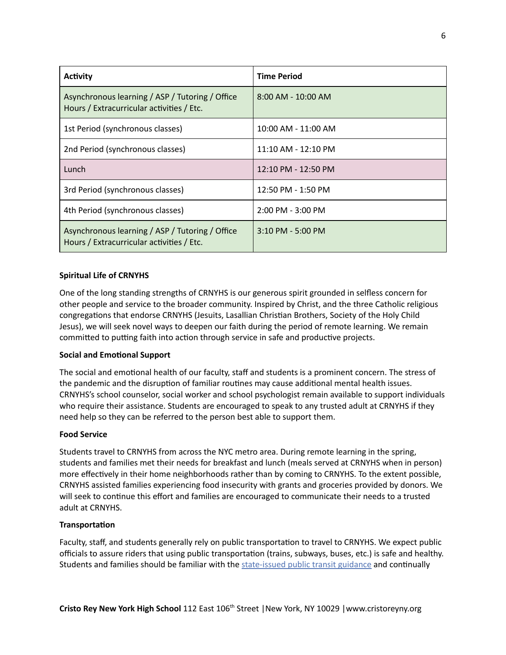| <b>Activity</b>                                                                              | <b>Time Period</b>    |  |  |
|----------------------------------------------------------------------------------------------|-----------------------|--|--|
| Asynchronous learning / ASP / Tutoring / Office<br>Hours / Extracurricular activities / Etc. | $8:00$ AM - 10:00 AM  |  |  |
| 1st Period (synchronous classes)                                                             | 10:00 AM - 11:00 AM   |  |  |
| 2nd Period (synchronous classes)                                                             | 11:10 AM - 12:10 PM   |  |  |
| Lunch                                                                                        | 12:10 PM - 12:50 PM   |  |  |
| 3rd Period (synchronous classes)                                                             | 12:50 PM - 1:50 PM    |  |  |
| 4th Period (synchronous classes)                                                             | $2:00$ PM - $3:00$ PM |  |  |
| Asynchronous learning / ASP / Tutoring / Office<br>Hours / Extracurricular activities / Etc. | $3:10$ PM - 5:00 PM   |  |  |

# **Spiritual Life of CRNYHS**

One of the long standing strengths of CRNYHS is our generous spirit grounded in selfless concern for other people and service to the broader community. Inspired by Christ, and the three Catholic religious congregations that endorse CRNYHS (Jesuits, Lasallian Christian Brothers, Society of the Holy Child Jesus), we will seek novel ways to deepen our faith during the period of remote learning. We remain committed to putting faith into action through service in safe and productive projects.

# **Social and Emotional Support**

The social and emotional health of our faculty, staff and students is a prominent concern. The stress of the pandemic and the disruption of familiar routines may cause additional mental health issues. CRNYHS's school counselor, social worker and school psychologist remain available to support individuals who require their assistance. Students are encouraged to speak to any trusted adult at CRNYHS if they need help so they can be referred to the person best able to support them.

# **Food Service**

Students travel to CRNYHS from across the NYC metro area. During remote learning in the spring, students and families met their needs for breakfast and lunch (meals served at CRNYHS when in person) more effectively in their home neighborhoods rather than by coming to CRNYHS. To the extent possible, CRNYHS assisted families experiencing food insecurity with grants and groceries provided by donors. We will seek to continue this effort and families are encouraged to communicate their needs to a trusted adult at CRNYHS.

# **Transportation**

Faculty, staff, and students generally rely on public transportation to travel to CRNYHS. We expect public officials to assure riders that using public transportation (trains, subways, buses, etc.) is safe and healthy. Students and families should be familiar with the [state-issued](https://www.governor.ny.gov/sites/governor.ny.gov/files/atoms/files/PublicTransportationMasterGuidance.pdf) public transit guidance and continually